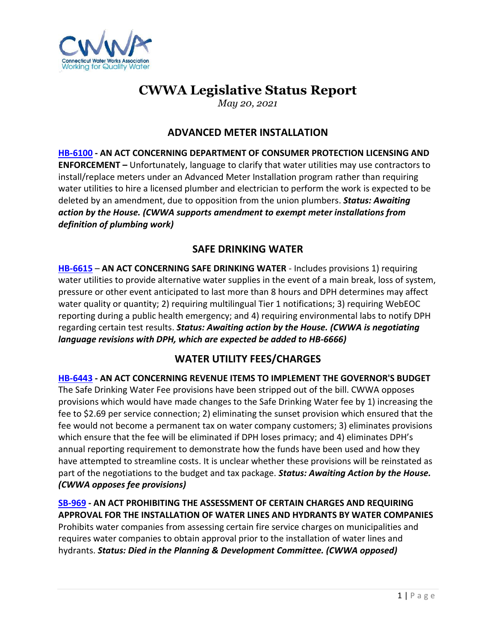

# **CWWA Legislative Status Report**

*May 20, 2021*

## **ADVANCED METER INSTALLATION**

**[HB-6100](https://www.cga.ct.gov/asp/cgabillstatus/cgabillstatus.asp?selBillType=Bill&which_year=2021&bill_num=6100) - AN ACT CONCERNING DEPARTMENT OF CONSUMER PROTECTION LICENSING AND ENFORCEMENT –** Unfortunately, language to clarify that water utilities may use contractors to install/replace meters under an Advanced Meter Installation program rather than requiring water utilities to hire a licensed plumber and electrician to perform the work is expected to be deleted by an amendment, due to opposition from the union plumbers. *Status: Awaiting action by the House. (CWWA supports amendment to exempt meter installations from definition of plumbing work)*

## **SAFE DRINKING WATER**

**[HB-6615](https://www.cga.ct.gov/asp/cgabillstatus/cgabillstatus.asp?selBillType=Bill&which_year=2021&bill_num=6615)** – **AN ACT CONCERNING SAFE DRINKING WATER** - Includes provisions 1) requiring water utilities to provide alternative water supplies in the event of a main break, loss of system, pressure or other event anticipated to last more than 8 hours and DPH determines may affect water quality or quantity; 2) requiring multilingual Tier 1 notifications; 3) requiring WebEOC reporting during a public health emergency; and 4) requiring environmental labs to notify DPH regarding certain test results. *Status: Awaiting action by the House. (CWWA is negotiating language revisions with DPH, which are expected be added to HB-6666)*

# **WATER UTILITY FEES/CHARGES**

**[HB-6443](https://www.cga.ct.gov/asp/cgabillstatus/cgabillstatus.asp?selBillType=Bill&which_year=2021&bill_num=6443) - AN ACT CONCERNING REVENUE ITEMS TO IMPLEMENT THE GOVERNOR'S BUDGET**  The Safe Drinking Water Fee provisions have been stripped out of the bill. CWWA opposes provisions which would have made changes to the Safe Drinking Water fee by 1) increasing the fee to \$2.69 per service connection; 2) eliminating the sunset provision which ensured that the fee would not become a permanent tax on water company customers; 3) eliminates provisions which ensure that the fee will be eliminated if DPH loses primacy; and 4) eliminates DPH's annual reporting requirement to demonstrate how the funds have been used and how they have attempted to streamline costs. It is unclear whether these provisions will be reinstated as part of the negotiations to the budget and tax package. *Status: Awaiting Action by the House. (CWWA opposes fee provisions)* 

**[SB-969](https://www.cga.ct.gov/asp/cgabillstatus/cgabillstatus.asp?selBillType=Bill&which_year=2021&bill_num=969) - AN ACT PROHIBITING THE ASSESSMENT OF CERTAIN CHARGES AND REQUIRING APPROVAL FOR THE INSTALLATION OF WATER LINES AND HYDRANTS BY WATER COMPANIES** Prohibits water companies from assessing certain fire service charges on municipalities and requires water companies to obtain approval prior to the installation of water lines and hydrants. *Status: Died in the Planning & Development Committee. (CWWA opposed)*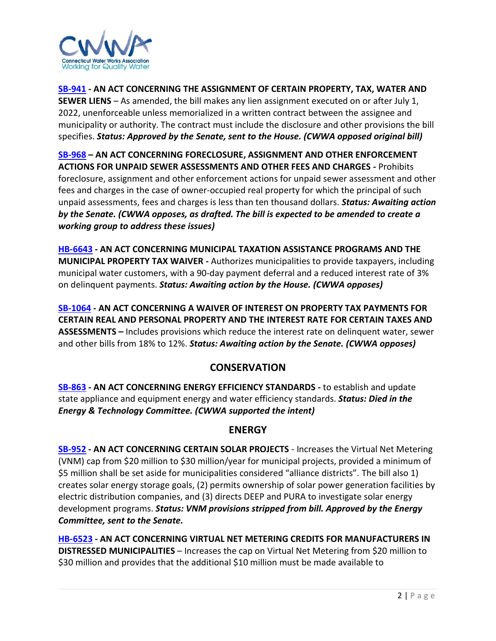

**[SB-941](https://www.cga.ct.gov/asp/cgabillstatus/cgabillstatus.asp?selBillType=Bill&which_year=2021&bill_num=941) - AN ACT CONCERNING THE ASSIGNMENT OF CERTAIN PROPERTY, TAX, WATER AND SEWER LIENS** – As amended, the bill makes any lien assignment executed on or after July 1, 2022, unenforceable unless memorialized in a written contract between the assignee and municipality or authority. The contract must include the disclosure and other provisions the bill specifies. *Status: Approved by the Senate, sent to the House. (CWWA opposed original bill)*

**[SB-968](https://www.cga.ct.gov/asp/cgabillstatus/cgabillstatus.asp?selBillType=Bill&which_year=2021&bill_num=968) – AN ACT CONCERNING FORECLOSURE, ASSIGNMENT AND OTHER ENFORCEMENT ACTIONS FOR UNPAID SEWER ASSESSMENTS AND OTHER FEES AND CHARGES -** Prohibits foreclosure, assignment and other enforcement actions for unpaid sewer assessment and other fees and charges in the case of owner-occupied real property for which the principal of such unpaid assessments, fees and charges is less than ten thousand dollars. *Status: Awaiting action by the Senate. (CWWA opposes, as drafted. The bill is expected to be amended to create a working group to address these issues)* 

**[HB-6643](https://www.cga.ct.gov/asp/cgabillstatus/cgabillstatus.asp?selBillType=Bill&which_year=2021&bill_num=6643) - AN ACT CONCERNING MUNICIPAL TAXATION ASSISTANCE PROGRAMS AND THE MUNICIPAL PROPERTY TAX WAIVER -** Authorizes municipalities to provide taxpayers, including municipal water customers, with a 90-day payment deferral and a reduced interest rate of 3% on delinquent payments. *Status: Awaiting action by the House. (CWWA opposes)*

**[SB-1064](https://www.cga.ct.gov/asp/cgabillstatus/cgabillstatus.asp?selBillType=Bill&which_year=2021&bill_num=1064) - AN ACT CONCERNING A WAIVER OF INTEREST ON PROPERTY TAX PAYMENTS FOR CERTAIN REAL AND PERSONAL PROPERTY AND THE INTEREST RATE FOR CERTAIN TAXES AND ASSESSMENTS –** Includes provisions which reduce the interest rate on delinquent water, sewer and other bills from 18% to 12%. *Status: Awaiting action by the Senate. (CWWA opposes)*

# **CONSERVATION**

**[SB-863](https://www.cga.ct.gov/asp/cgabillstatus/cgabillstatus.asp?selBillType=Bill&which_year=2021&bill_num=863) - AN ACT CONCERNING ENERGY EFFICIENCY STANDARDS -** to establish and update state appliance and equipment energy and water efficiency standards. *Status: Died in the Energy & Technology Committee. (CWWA supported the intent)*

# **ENERGY**

**[SB-952](http://www.cga.ct.gov/asp/cgabillstatus/cgabillstatus.asp?selBillType=Bill&bill_num=SB00952&which_year=2021) - AN ACT CONCERNING CERTAIN SOLAR PROJECTS** - Increases the Virtual Net Metering (VNM) cap from \$20 million to \$30 million/year for municipal projects, provided a minimum of \$5 million shall be set aside for municipalities considered "alliance districts". The bill also 1) creates solar energy storage goals, (2) permits ownership of solar power generation facilities by electric distribution companies, and (3) directs DEEP and PURA to investigate solar energy development programs. *Status: VNM provisions stripped from bill. Approved by the Energy Committee, sent to the Senate.* 

**[HB-6523](https://www.cga.ct.gov/asp/cgabillstatus/cgabillstatus.asp?selBillType=Bill&which_year=2021&bill_num=6523) - AN ACT CONCERNING VIRTUAL NET METERING CREDITS FOR MANUFACTURERS IN DISTRESSED MUNICIPALITIES** – Increases the cap on Virtual Net Metering from \$20 million to \$30 million and provides that the additional \$10 million must be made available to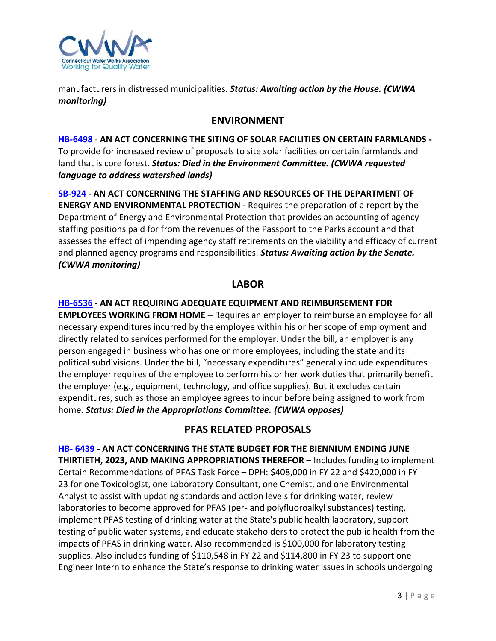

manufacturers in distressed municipalities. *Status: Awaiting action by the House. (CWWA monitoring)*

## **ENVIRONMENT**

**[HB-6498](https://search.cga.state.ct.us/highlighter/highlight-for-xml?altUrl=%2Fdl2021%2Fcbs%2Fpdf%2FHB-6498.pdf&uri=https%3A%2F%2Fsearch.cga.state.ct.us%2Fdl2021%2Fcbs%2Fpdf%2FHB-6498.pdf&xml=%3CXML%3E%0A%3CBody+units%3Dcharacters+color%3D%23ff00ff+mode%3Dactive+version%3D2%3E%0A%3CHighlight%3E%0A%3C%2FHighlight%3E%0A%3C%2FBody%3E%0A%3C%2FXML%3E%0A)** - **AN ACT CONCERNING THE SITING OF SOLAR FACILITIES ON CERTAIN FARMLANDS -** To provide for increased review of proposals to site solar facilities on certain farmlands and land that is core forest. *Status: Died in the Environment Committee. (CWWA requested language to address watershed lands)*

**[SB-924](https://www.cga.ct.gov/asp/cgabillstatus/cgabillstatus.asp?selBillType=Bill&which_year=2021&bill_num=924) - AN ACT CONCERNING THE STAFFING AND RESOURCES OF THE DEPARTMENT OF ENERGY AND ENVIRONMENTAL PROTECTION** - Requires the preparation of a report by the Department of Energy and Environmental Protection that provides an accounting of agency staffing positions paid for from the revenues of the Passport to the Parks account and that assesses the effect of impending agency staff retirements on the viability and efficacy of current and planned agency programs and responsibilities. *Status: Awaiting action by the Senate. (CWWA monitoring)*

## **LABOR**

**[HB-6536](https://www.cga.ct.gov/asp/cgabillstatus/cgabillstatus.asp?selBillType=Bill&which_year=2021&bill_num=6536) - AN ACT REQUIRING ADEQUATE EQUIPMENT AND REIMBURSEMENT FOR EMPLOYEES WORKING FROM HOME –** Requires an employer to reimburse an employee for all necessary expenditures incurred by the employee within his or her scope of employment and directly related to services performed for the employer. Under the bill, an employer is any person engaged in business who has one or more employees, including the state and its political subdivisions. Under the bill, "necessary expenditures" generally include expenditures the employer requires of the employee to perform his or her work duties that primarily benefit the employer (e.g., equipment, technology, and office supplies). But it excludes certain expenditures, such as those an employee agrees to incur before being assigned to work from home. *Status: Died in the Appropriations Committee. (CWWA opposes)*

# **PFAS RELATED PROPOSALS**

**HB- [6439](https://www.cga.ct.gov/asp/cgabillstatus/cgabillstatus.asp?selBillType=Bill&which_year=2021&bill_num=6439) - AN ACT CONCERNING THE STATE BUDGET FOR THE BIENNIUM ENDING JUNE THIRTIETH, 2023, AND MAKING APPROPRIATIONS THEREFOR** – Includes funding to implement Certain Recommendations of PFAS Task Force – DPH: \$408,000 in FY 22 and \$420,000 in FY 23 for one Toxicologist, one Laboratory Consultant, one Chemist, and one Environmental Analyst to assist with updating standards and action levels for drinking water, review laboratories to become approved for PFAS (per- and polyfluoroalkyl substances) testing, implement PFAS testing of drinking water at the State's public health laboratory, support testing of public water systems, and educate stakeholders to protect the public health from the impacts of PFAS in drinking water. Also recommended is \$100,000 for laboratory testing supplies. Also includes funding of \$110,548 in FY 22 and \$114,800 in FY 23 to support one Engineer Intern to enhance the State's response to drinking water issues in schools undergoing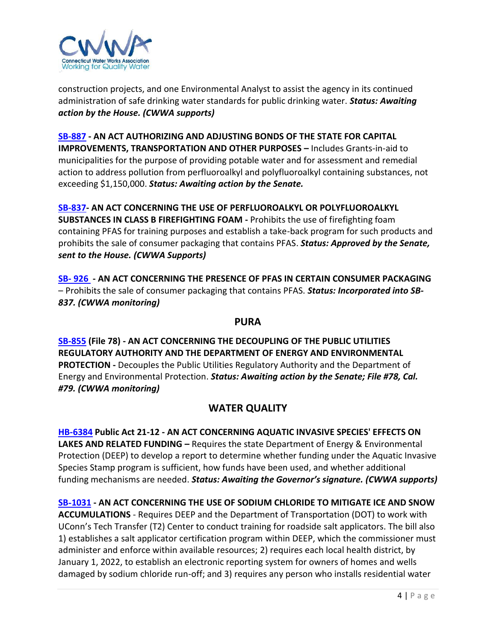

construction projects, and one Environmental Analyst to assist the agency in its continued administration of safe drinking water standards for public drinking water. *Status: Awaiting action by the House. (CWWA supports)*

**[SB-887](https://www.cga.ct.gov/asp/cgabillstatus/cgabillstatus.asp?selBillType=Bill&which_year=2021&bill_num=887) - AN ACT AUTHORIZING AND ADJUSTING BONDS OF THE STATE FOR CAPITAL IMPROVEMENTS, TRANSPORTATION AND OTHER PURPOSES –** Includes Grants-in-aid to municipalities for the purpose of providing potable water and for assessment and remedial action to address pollution from perfluoroalkyl and polyfluoroalkyl containing substances, not exceeding \$1,150,000. *Status: Awaiting action by the Senate.* 

**[SB-837-](https://www.cga.ct.gov/asp/cgabillstatus/cgabillstatus.asp?selBillType=Bill&which_year=2021&bill_num=837) AN ACT CONCERNING THE USE OF PERFLUOROALKYL OR POLYFLUOROALKYL SUBSTANCES IN CLASS B FIREFIGHTING FOAM -** Prohibits the use of firefighting foam containing PFAS for training purposes and establish a take-back program for such products and prohibits the sale of consumer packaging that contains PFAS. *Status: Approved by the Senate, sent to the House. (CWWA Supports)*

**SB- [926](https://www.cga.ct.gov/asp/cgabillstatus/cgabillstatus.asp?selBillType=Bill&which_year=2021&bill_num=926) - AN ACT CONCERNING THE PRESENCE OF PFAS IN CERTAIN CONSUMER PACKAGING** – Prohibits the sale of consumer packaging that contains PFAS. *Status: Incorporated into SB-837. (CWWA monitoring)*

#### **PURA**

**[SB-855](https://www.cga.ct.gov/asp/cgabillstatus/cgabillstatus.asp?selBillType=Bill&which_year=2021&bill_num=855) (File 78) - AN ACT CONCERNING THE DECOUPLING OF THE PUBLIC UTILITIES REGULATORY AUTHORITY AND THE DEPARTMENT OF ENERGY AND ENVIRONMENTAL PROTECTION -** Decouples the Public Utilities Regulatory Authority and the Department of Energy and Environmental Protection. *Status: Awaiting action by the Senate; File #78, Cal. #79. (CWWA monitoring)*

# **WATER QUALITY**

**[HB-6384](https://www.cga.ct.gov/asp/cgabillstatus/cgabillstatus.asp?selBillType=Bill&which_year=2021&bill_num=6384) Public Act 21-12 - AN ACT CONCERNING AQUATIC INVASIVE SPECIES' EFFECTS ON LAKES AND RELATED FUNDING –** Requires the state Department of Energy & Environmental Protection (DEEP) to develop a report to determine whether funding under the Aquatic Invasive Species Stamp program is sufficient, how funds have been used, and whether additional funding mechanisms are needed. *Status: Awaiting the Governor's signature. (CWWA supports)* 

**SB**‑**[1031](https://www.cga.ct.gov/asp/cgabillstatus/cgabillstatus.asp?selBillType=Bill&which_year=2021&bill_num=1031) - AN ACT CONCERNING THE USE OF SODIUM CHLORIDE TO MITIGATE ICE AND SNOW ACCUMULATIONS** - Requires DEEP and the Department of Transportation (DOT) to work with UConn's Tech Transfer (T2) Center to conduct training for roadside salt applicators. The bill also 1) establishes a salt applicator certification program within DEEP, which the commissioner must administer and enforce within available resources; 2) requires each local health district, by January 1, 2022, to establish an electronic reporting system for owners of homes and wells damaged by sodium chloride run-off; and 3) requires any person who installs residential water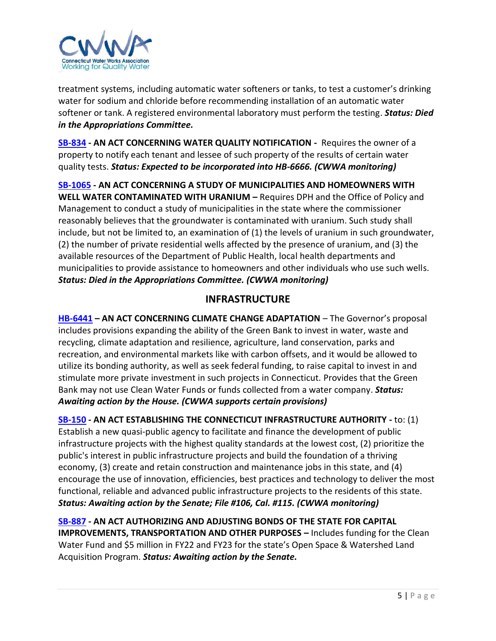

treatment systems, including automatic water softeners or tanks, to test a customer's drinking water for sodium and chloride before recommending installation of an automatic water softener or tank. A registered environmental laboratory must perform the testing. *Status: Died in the Appropriations Committee.* 

**[SB-834](https://www.cga.ct.gov/asp/cgabillstatus/cgabillstatus.asp?selBillType=Bill&which_year=2021&bill_num=834) - AN ACT CONCERNING WATER QUALITY NOTIFICATION -** Requires the owner of a property to notify each tenant and lessee of such property of the results of certain water quality tests. *Status: Expected to be incorporated into HB-6666. (CWWA monitoring)*

**[SB-1065](https://www.cga.ct.gov/asp/cgabillstatus/cgabillstatus.asp?selBillType=Bill&which_year=2021&bill_num=1065) - AN ACT CONCERNING A STUDY OF MUNICIPALITIES AND HOMEOWNERS WITH WELL WATER CONTAMINATED WITH URANIUM –** Requires DPH and the Office of Policy and Management to conduct a study of municipalities in the state where the commissioner reasonably believes that the groundwater is contaminated with uranium. Such study shall include, but not be limited to, an examination of (1) the levels of uranium in such groundwater, (2) the number of private residential wells affected by the presence of uranium, and (3) the available resources of the Department of Public Health, local health departments and municipalities to provide assistance to homeowners and other individuals who use such wells. *Status: Died in the Appropriations Committee. (CWWA monitoring)*

# **INFRASTRUCTURE**

**[HB-6441](https://www.cga.ct.gov/asp/cgabillstatus/cgabillstatus.asp?selBillType=Bill&which_year=2021&bill_num=6441) – AN ACT CONCERNING CLIMATE CHANGE ADAPTATION** – The Governor's proposal includes provisions expanding the ability of the Green Bank to invest in water, waste and recycling, climate adaptation and resilience, agriculture, land conservation, parks and recreation, and environmental markets like with carbon offsets, and it would be allowed to utilize its bonding authority, as well as seek federal funding, to raise capital to invest in and stimulate more private investment in such projects in Connecticut. Provides that the Green Bank may not use Clean Water Funds or funds collected from a water company. *Status: Awaiting action by the House. (CWWA supports certain provisions)*

**[SB-150](https://www.cga.ct.gov/asp/cgabillstatus/cgabillstatus.asp?selBillType=Bill&which_year=2021&bill_num=150) - AN ACT ESTABLISHING THE CONNECTICUT INFRASTRUCTURE AUTHORITY -** to: (1) Establish a new quasi-public agency to facilitate and finance the development of public infrastructure projects with the highest quality standards at the lowest cost, (2) prioritize the public's interest in public infrastructure projects and build the foundation of a thriving economy, (3) create and retain construction and maintenance jobs in this state, and (4) encourage the use of innovation, efficiencies, best practices and technology to deliver the most functional, reliable and advanced public infrastructure projects to the residents of this state. *Status: Awaiting action by the Senate; File #106, Cal. #115. (CWWA monitoring)*

**[SB-887](https://www.cga.ct.gov/asp/cgabillstatus/cgabillstatus.asp?selBillType=Bill&which_year=2021&bill_num=887) - AN ACT AUTHORIZING AND ADJUSTING BONDS OF THE STATE FOR CAPITAL IMPROVEMENTS, TRANSPORTATION AND OTHER PURPOSES –** Includes funding for the Clean Water Fund and \$5 million in FY22 and FY23 for the state's Open Space & Watershed Land Acquisition Program. *Status: Awaiting action by the Senate.*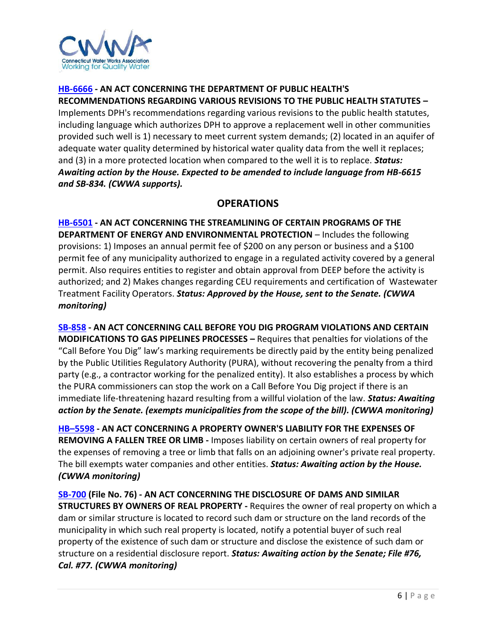

### **[HB-6666](https://www.cga.ct.gov/asp/cgabillstatus/cgabillstatus.asp?selBillType=Bill&which_year=2021&bill_num=6666) - AN ACT CONCERNING THE DEPARTMENT OF PUBLIC HEALTH'S RECOMMENDATIONS REGARDING VARIOUS REVISIONS TO THE PUBLIC HEALTH STATUTES –**

Implements DPH's recommendations regarding various revisions to the public health statutes, including language which authorizes DPH to approve a replacement well in other communities provided such well is 1) necessary to meet current system demands; (2) located in an aquifer of adequate water quality determined by historical water quality data from the well it replaces; and (3) in a more protected location when compared to the well it is to replace. *Status: Awaiting action by the House. Expected to be amended to include language from HB-6615 and SB-834. (CWWA supports).* 

# **OPERATIONS**

**[HB-6501](http://www.cga.ct.gov/asp/cgabillstatus/cgabillstatus.asp?selBillType=Bill&bill_num=HB06501&which_year=2021) - AN ACT CONCERNING THE STREAMLINING OF CERTAIN PROGRAMS OF THE DEPARTMENT OF ENERGY AND ENVIRONMENTAL PROTECTION** – Includes the following provisions: 1) Imposes an annual permit fee of \$200 on any person or business and a \$100 permit fee of any municipality authorized to engage in a regulated activity covered by a general permit. Also requires entities to register and obtain approval from DEEP before the activity is authorized; and 2) Makes changes regarding CEU requirements and certification of Wastewater Treatment Facility Operators. *Status: Approved by the House, sent to the Senate. (CWWA monitoring)*

**[SB-858](https://www.cga.ct.gov/asp/cgabillstatus/cgabillstatus.asp?selBillType=Bill&which_year=2021&bill_num=858) - AN ACT CONCERNING CALL BEFORE YOU DIG PROGRAM VIOLATIONS AND CERTAIN MODIFICATIONS TO GAS PIPELINES PROCESSES –** Requires that penalties for violations of the "Call Before You Dig" law's marking requirements be directly paid by the entity being penalized by the Public Utilities Regulatory Authority (PURA), without recovering the penalty from a third party (e.g., a contractor working for the penalized entity). It also establishes a process by which the PURA commissioners can stop the work on a Call Before You Dig project if there is an immediate life-threatening hazard resulting from a willful violation of the law. *Status: Awaiting action by the Senate. (exempts municipalities from the scope of the bill). (CWWA monitoring)* 

**HB–[5598](http://www.cga.ct.gov/asp/cgabillstatus/cgabillstatus.asp?selBillType=Bill&bill_num=HB05598&which_year=2021) - AN ACT CONCERNING A PROPERTY OWNER'S LIABILITY FOR THE EXPENSES OF REMOVING A FALLEN TREE OR LIMB -** Imposes liability on certain owners of real property for the expenses of removing a tree or limb that falls on an adjoining owner's private real property. The bill exempts water companies and other entities. *Status: Awaiting action by the House. (CWWA monitoring)*

**[SB-700](https://www.cga.ct.gov/asp/cgabillstatus/cgabillstatus.asp?selBillType=Bill&which_year=2021&bill_num=700) (File No. 76) - AN ACT CONCERNING THE DISCLOSURE OF DAMS AND SIMILAR STRUCTURES BY OWNERS OF REAL PROPERTY -** Requires the owner of real property on which a dam or similar structure is located to record such dam or structure on the land records of the municipality in which such real property is located, notify a potential buyer of such real property of the existence of such dam or structure and disclose the existence of such dam or structure on a residential disclosure report. *Status: Awaiting action by the Senate; File #76, Cal. #77. (CWWA monitoring)*